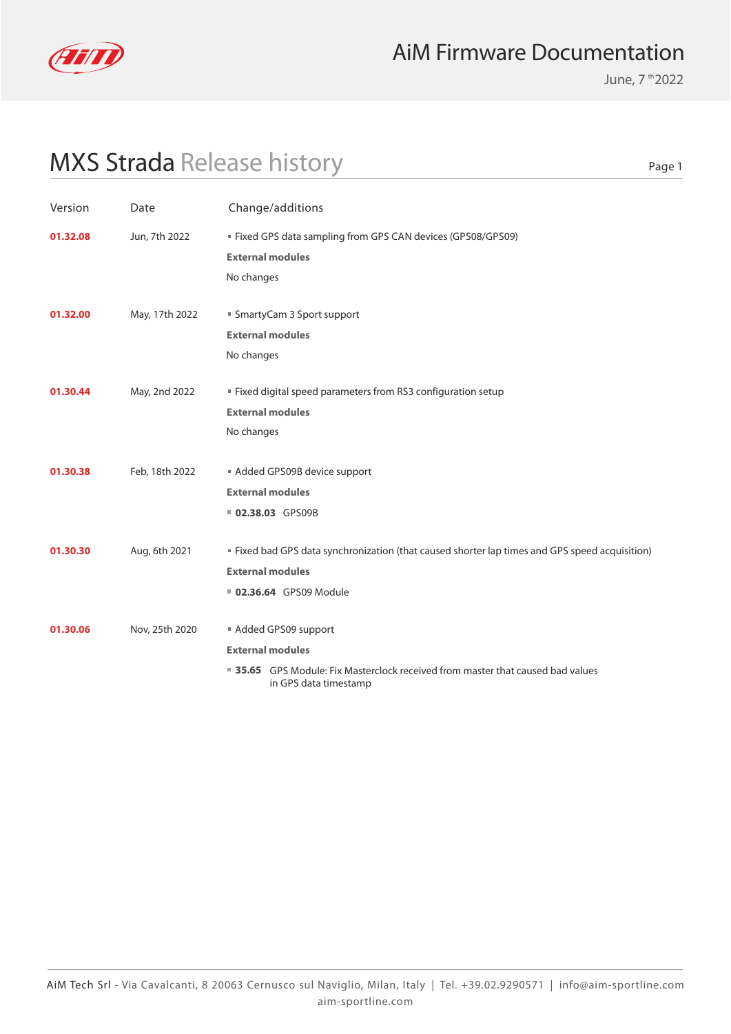

June, 7 th 2022

Page 1

## MXS Strada Release history

Version Date Change/additions **External modules 35.65** GPS Module: Fix Masterclock received from master that caused bad values in GPS data timestamp **01.30.06** Nov, 25th 2020 **Added GPS09 support External modules 02.36.64** GPS09 Module **01.30.30** Aug, 6th 2021 **Fixed bad GPS data synchronization (that caused shorter lap times and GPS speed acquisition) External modules 02.38.03** GPS09B **01.30.38** Feb, 18th 2022 **Added GPS09B device support External modules 01.30.44** May, 2nd 2022 **Fixed digital speed parameters from RS3 configuration setup** No changes **External modules 01.32.00** May, 17th 2022 **SmartyCam 3 Sport support** No changes **External modules 01.32.08** Jun, 7th 2022 Fixed GPS data sampling from GPS CAN devices (GPS08/GPS09) No changes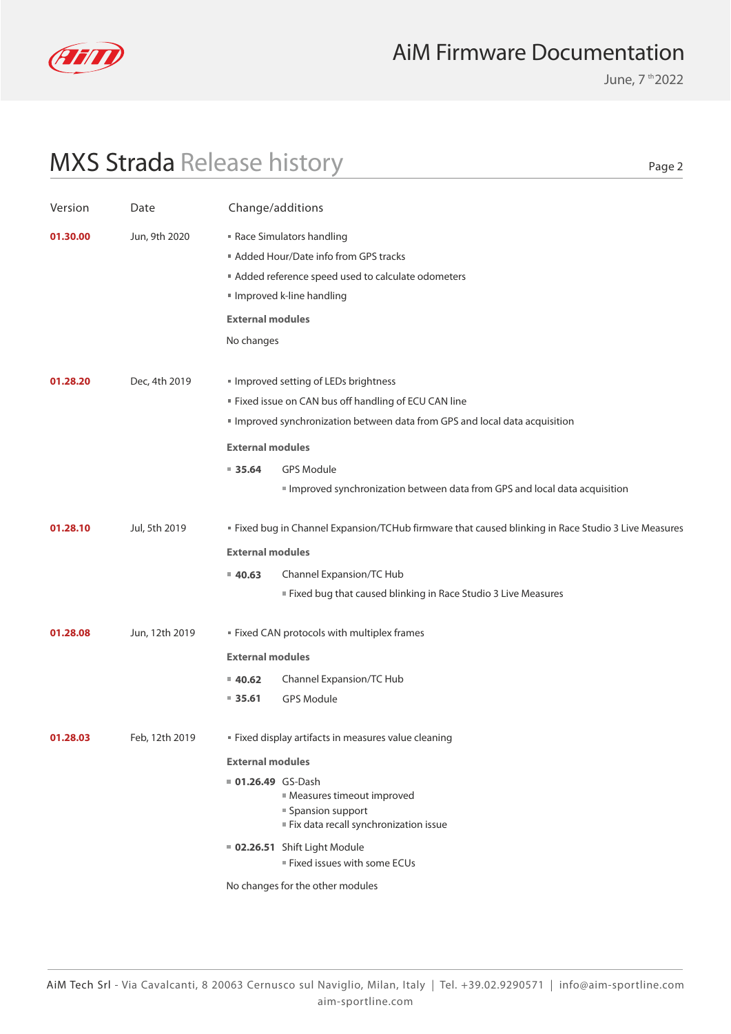

June, 7 th 2022

Page 2

### MXS Strada Release history

| Version  | Date           | Change/additions                            |                                                                                                                                                                                                                                                    |
|----------|----------------|---------------------------------------------|----------------------------------------------------------------------------------------------------------------------------------------------------------------------------------------------------------------------------------------------------|
| 01.30.00 | Jun, 9th 2020  | <b>External modules</b><br>No changes       | Race Simulators handling<br>Added Hour/Date info from GPS tracks<br>Added reference speed used to calculate odometers<br>Improved k-line handling                                                                                                  |
| 01.28.20 | Dec, 4th 2019  |                                             | Improved setting of LEDs brightness<br>" Fixed issue on CAN bus off handling of ECU CAN line<br>Improved synchronization between data from GPS and local data acquisition                                                                          |
|          |                | <b>External modules</b><br>935.64           | <b>GPS Module</b><br>Improved synchronization between data from GPS and local data acquisition                                                                                                                                                     |
| 01.28.10 | Jul, 5th 2019  | <b>External modules</b><br>40.63            | " Fixed bug in Channel Expansion/TCHub firmware that caused blinking in Race Studio 3 Live Measures<br>Channel Expansion/TC Hub<br>Fixed bug that caused blinking in Race Studio 3 Live Measures                                                   |
| 01.28.08 | Jun, 12th 2019 | <b>External modules</b><br>40.62<br>■ 35.61 | " Fixed CAN protocols with multiplex frames<br>Channel Expansion/TC Hub<br><b>GPS Module</b>                                                                                                                                                       |
| 01.28.03 | Feb, 12th 2019 | <b>External modules</b><br>01.26.49 GS-Dash | " Fixed display artifacts in measures value cleaning<br>Measures timeout improved<br>■ Spansion support<br>Fix data recall synchronization issue<br>02.26.51 Shift Light Module<br>Fixed issues with some ECUs<br>No changes for the other modules |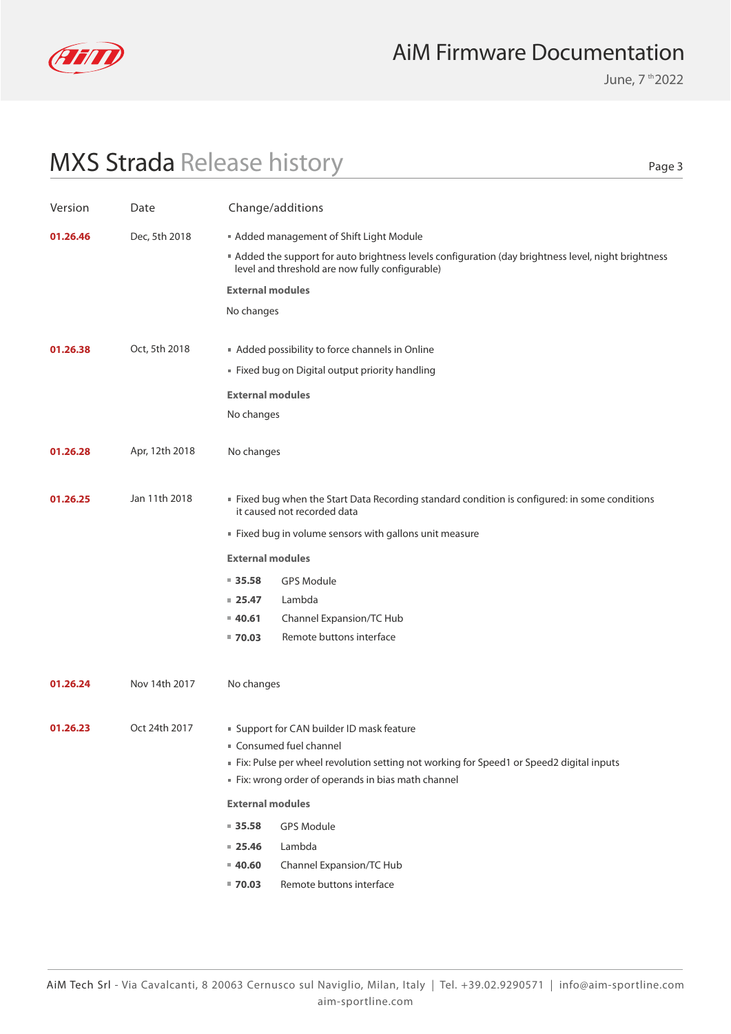

June, 7 th 2022

### MXS Strada Release history

Page 3

| Version  | Date           | Change/additions        |                                                                                                                                                                                                                    |
|----------|----------------|-------------------------|--------------------------------------------------------------------------------------------------------------------------------------------------------------------------------------------------------------------|
| 01.26.46 | Dec, 5th 2018  |                         | Added management of Shift Light Module                                                                                                                                                                             |
|          |                |                         | Added the support for auto brightness levels configuration (day brightness level, night brightness<br>level and threshold are now fully configurable)                                                              |
|          |                | <b>External modules</b> |                                                                                                                                                                                                                    |
|          |                | No changes              |                                                                                                                                                                                                                    |
| 01.26.38 | Oct, 5th 2018  |                         | Added possibility to force channels in Online                                                                                                                                                                      |
|          |                |                         | " Fixed bug on Digital output priority handling                                                                                                                                                                    |
|          |                |                         |                                                                                                                                                                                                                    |
|          |                | <b>External modules</b> |                                                                                                                                                                                                                    |
|          |                | No changes              |                                                                                                                                                                                                                    |
| 01.26.28 | Apr, 12th 2018 | No changes              |                                                                                                                                                                                                                    |
|          |                |                         |                                                                                                                                                                                                                    |
| 01.26.25 | Jan 11th 2018  |                         | Fixed bug when the Start Data Recording standard condition is configured: in some conditions<br>it caused not recorded data                                                                                        |
|          |                |                         | Fixed bug in volume sensors with gallons unit measure                                                                                                                                                              |
|          |                | <b>External modules</b> |                                                                                                                                                                                                                    |
|          |                | $= 35.58$               | <b>GPS Module</b>                                                                                                                                                                                                  |
|          |                | $= 25.47$               | Lambda                                                                                                                                                                                                             |
|          |                | $= 40.61$               | Channel Expansion/TC Hub                                                                                                                                                                                           |
|          |                | $= 70.03$               | Remote buttons interface                                                                                                                                                                                           |
|          |                |                         |                                                                                                                                                                                                                    |
| 01.26.24 | Nov 14th 2017  | No changes              |                                                                                                                                                                                                                    |
|          |                |                         |                                                                                                                                                                                                                    |
| 01.26.23 | Oct 24th 2017  |                         | ■ Support for CAN builder ID mask feature<br>Consumed fuel channel<br>Fix: Pulse per wheel revolution setting not working for Speed1 or Speed2 digital inputs<br>Fix: wrong order of operands in bias math channel |
|          |                | <b>External modules</b> |                                                                                                                                                                                                                    |
|          |                | 935.58                  | <b>GPS Module</b>                                                                                                                                                                                                  |
|          |                | $= 25.46$               | Lambda                                                                                                                                                                                                             |
|          |                | 40.60                   | Channel Expansion/TC Hub                                                                                                                                                                                           |
|          |                | $= 70.03$               | Remote buttons interface                                                                                                                                                                                           |
|          |                |                         |                                                                                                                                                                                                                    |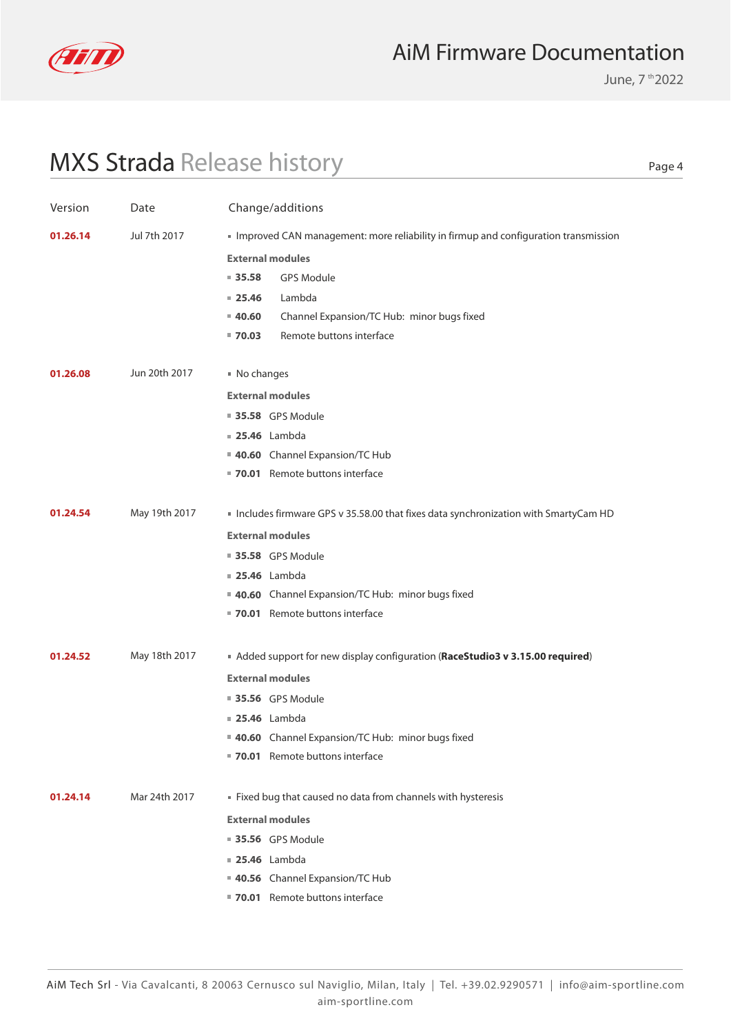

June, 7 th 2022

Page 4

## MXS Strada Release history

| Version  | Date          | Change/additions                                                                   |
|----------|---------------|------------------------------------------------------------------------------------|
| 01.26.14 | Jul 7th 2017  | Improved CAN management: more reliability in firmup and configuration transmission |
|          |               | <b>External modules</b>                                                            |
|          |               | $= 35.58$<br><b>GPS Module</b>                                                     |
|          |               | Lambda<br>$= 25.46$                                                                |
|          |               | Channel Expansion/TC Hub: minor bugs fixed<br>$= 40.60$                            |
|          |               | Remote buttons interface<br>$= 70.03$                                              |
| 01.26.08 | Jun 20th 2017 | No changes                                                                         |
|          |               | <b>External modules</b>                                                            |
|          |               | <b>35.58</b> GPS Module                                                            |
|          |               | <b>25.46</b> Lambda                                                                |
|          |               | 40.60 Channel Expansion/TC Hub                                                     |
|          |               | 70.01 Remote buttons interface                                                     |
|          |               |                                                                                    |
| 01.24.54 | May 19th 2017 | Includes firmware GPS v 35.58.00 that fixes data synchronization with SmartyCam HD |
|          |               | <b>External modules</b>                                                            |
|          |               | <b>35.58</b> GPS Module                                                            |
|          |               | <b>25.46</b> Lambda                                                                |
|          |               | 40.60 Channel Expansion/TC Hub: minor bugs fixed                                   |
|          |               | 70.01 Remote buttons interface                                                     |
|          |               |                                                                                    |
| 01.24.52 | May 18th 2017 | Added support for new display configuration (RaceStudio3 v 3.15.00 required)       |
|          |               | <b>External modules</b>                                                            |
|          |               | <b>35.56</b> GPS Module                                                            |
|          |               | <b>25.46</b> Lambda                                                                |
|          |               | 40.60 Channel Expansion/TC Hub: minor bugs fixed                                   |
|          |               | ■ 70.01 Remote buttons interface                                                   |
| 01.24.14 | Mar 24th 2017 | Fixed bug that caused no data from channels with hysteresis                        |
|          |               | <b>External modules</b>                                                            |
|          |               | <b>35.56</b> GPS Module                                                            |
|          |               | <b>25.46</b> Lambda                                                                |
|          |               | 40.56 Channel Expansion/TC Hub                                                     |
|          |               | 70.01 Remote buttons interface                                                     |
|          |               |                                                                                    |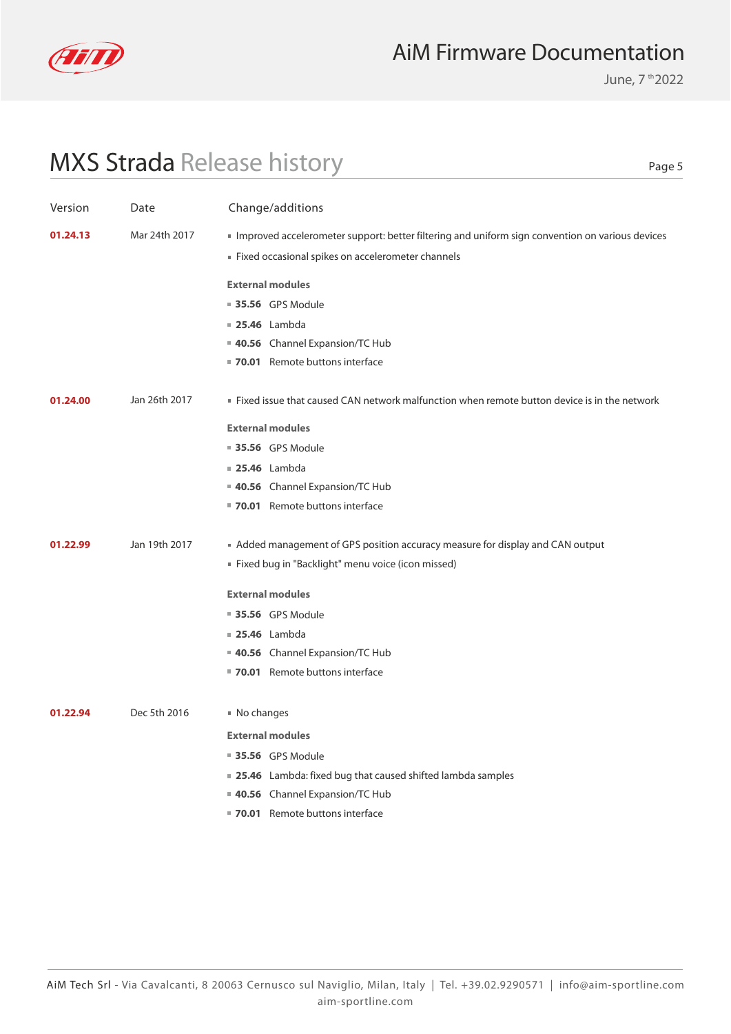

June, 7 th 2022

## MXS Strada Release history

Page 5

| Version  | Date          | Change/additions                                                                                                                                     |
|----------|---------------|------------------------------------------------------------------------------------------------------------------------------------------------------|
| 01.24.13 | Mar 24th 2017 | Improved accelerometer support: better filtering and uniform sign convention on various devices<br>Fixed occasional spikes on accelerometer channels |
|          |               |                                                                                                                                                      |
|          |               | <b>External modules</b>                                                                                                                              |
|          |               | <b>35.56</b> GPS Module                                                                                                                              |
|          |               | <b>25.46</b> Lambda                                                                                                                                  |
|          |               | 40.56 Channel Expansion/TC Hub                                                                                                                       |
|          |               | ■ 70.01 Remote buttons interface                                                                                                                     |
| 01.24.00 | Jan 26th 2017 | . Fixed issue that caused CAN network malfunction when remote button device is in the network                                                        |
|          |               | <b>External modules</b>                                                                                                                              |
|          |               | ■ 35.56 GPS Module                                                                                                                                   |
|          |               | <b>25.46</b> Lambda                                                                                                                                  |
|          |               | 40.56 Channel Expansion/TC Hub                                                                                                                       |
|          |               | ■ 70.01 Remote buttons interface                                                                                                                     |
| 01.22.99 | Jan 19th 2017 | Added management of GPS position accuracy measure for display and CAN output                                                                         |
|          |               | " Fixed bug in "Backlight" menu voice (icon missed)                                                                                                  |
|          |               | <b>External modules</b>                                                                                                                              |
|          |               | <b>35.56</b> GPS Module                                                                                                                              |
|          |               | <b>25.46</b> Lambda                                                                                                                                  |
|          |               | 40.56 Channel Expansion/TC Hub                                                                                                                       |
|          |               | ■ 70.01 Remote buttons interface                                                                                                                     |
| 01.22.94 | Dec 5th 2016  | No changes                                                                                                                                           |
|          |               | <b>External modules</b>                                                                                                                              |
|          |               | <b>35.56</b> GPS Module                                                                                                                              |
|          |               | ■ 25.46 Lambda: fixed bug that caused shifted lambda samples                                                                                         |
|          |               | 40.56 Channel Expansion/TC Hub                                                                                                                       |
|          |               | ■ 70.01 Remote buttons interface                                                                                                                     |
|          |               |                                                                                                                                                      |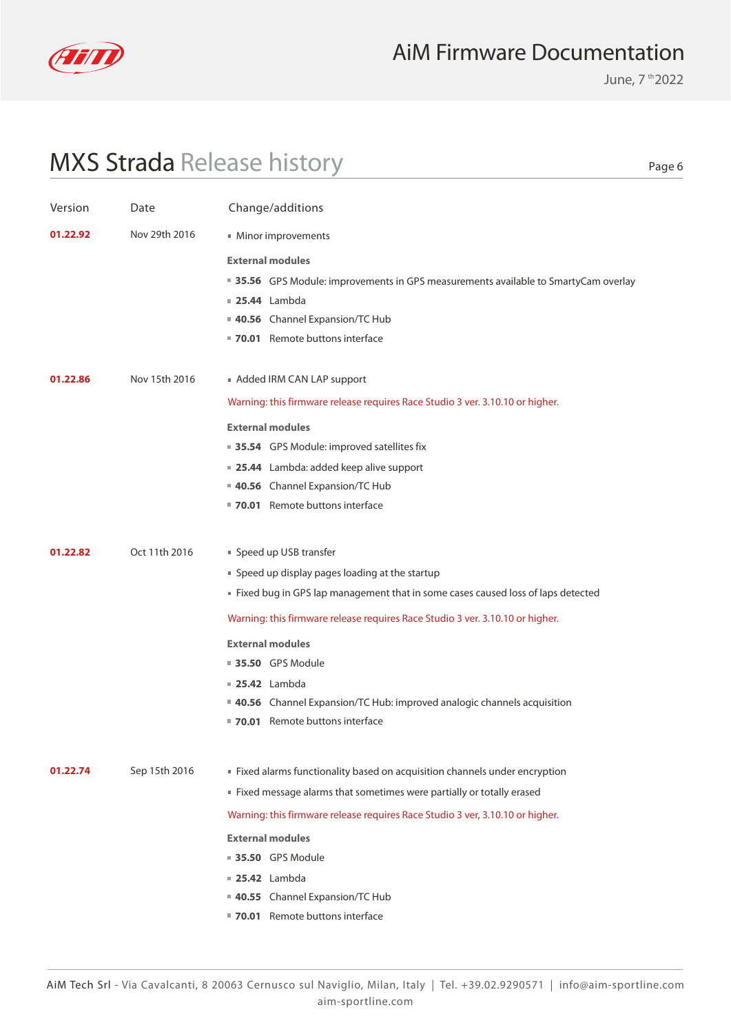

June, 7 th 2022

Page 6

## MXS Strada Release history

| Version  | Date          | Change/additions                                                                    |
|----------|---------------|-------------------------------------------------------------------------------------|
| 01.22.92 | Nov 29th 2016 | ■ Minor improvements                                                                |
|          |               | <b>External modules</b>                                                             |
|          |               | ■ 35.56 GPS Module: improvements in GPS measurements available to SmartyCam overlay |
|          |               | $\blacksquare$ 25.44 Lambda                                                         |
|          |               | 40.56 Channel Expansion/TC Hub                                                      |
|          |               | 70.01 Remote buttons interface                                                      |
| 01.22.86 | Nov 15th 2016 | Added IRM CAN LAP support                                                           |
|          |               | Warning: this firmware release requires Race Studio 3 ver. 3.10.10 or higher.       |
|          |               | <b>External modules</b>                                                             |
|          |               | ■ 35.54 GPS Module: improved satellites fix                                         |
|          |               | ■ 25.44 Lambda: added keep alive support                                            |
|          |               | 40.56 Channel Expansion/TC Hub                                                      |
|          |               | ■ 70.01 Remote buttons interface                                                    |
| 01.22.82 | Oct 11th 2016 | ■ Speed up USB transfer                                                             |
|          |               | • Speed up display pages loading at the startup                                     |
|          |               | Fixed bug in GPS lap management that in some cases caused loss of laps detected     |
|          |               | Warning: this firmware release requires Race Studio 3 ver. 3.10.10 or higher.       |
|          |               | <b>External modules</b>                                                             |
|          |               | ■ 35.50 GPS Module                                                                  |
|          |               | $\blacksquare$ 25.42 Lambda                                                         |
|          |               | <b>40.56</b> Channel Expansion/TC Hub: improved analogic channels acquisition       |
|          |               | ■ 70.01 Remote buttons interface                                                    |
| 01.22.74 | Sep 15th 2016 | Fixed alarms functionality based on acquisition channels under encryption           |
|          |               | Fixed message alarms that sometimes were partially or totally erased                |
|          |               | Warning: this firmware release requires Race Studio 3 ver, 3.10.10 or higher.       |
|          |               | <b>External modules</b>                                                             |
|          |               | ■ 35.50 GPS Module                                                                  |
|          |               | $\blacksquare$ 25.42 Lambda                                                         |
|          |               | 40.55 Channel Expansion/TC Hub                                                      |
|          |               | 70.01 Remote buttons interface                                                      |
|          |               |                                                                                     |